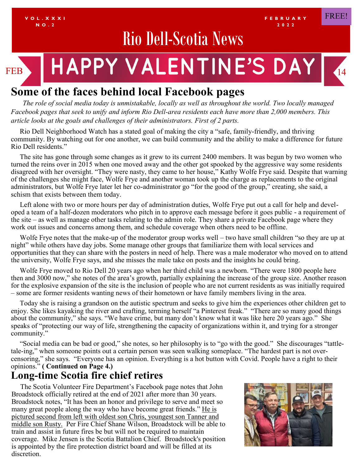

# **Some of the faces behind local Facebook pages**

*The role of social media today is unmistakable, locally as well as throughout the world. Two locally managed Facebook pages that seek to unify and inform Rio Dell-area residents each have more than 2,000 members. This article looks at the goals and challenges of their administrators. First of 2 parts.*

 Rio Dell Neighborhood Watch has a stated goal of making the city a "safe, family-friendly, and thriving community. By watching out for one another, we can build community and the ability to make a difference for future Rio Dell residents."

 The site has gone through some changes as it grew to its current 2400 members. It was begun by two women who turned the reins over in 2015 when one moved away and the other got spooked by the aggressive way some residents disagreed with her oversight. "They were nasty, they came to her house," Kathy Wolfe Frye said. Despite that warning of the challenges she might face, Wolfe Frye and another woman took up the charge as replacements to the original administrators, but Wolfe Frye later let her co-administrator go "for the good of the group," creating, she said, a schism that exists between them today.

 Left alone with two or more hours per day of administration duties, Wolfe Frye put out a call for help and developed a team of a half-dozen moderators who pitch in to approve each message before it goes public - a requirement of the site – as well as manage other tasks relating to the admin role. They share a private Facebook page where they work out issues and concerns among them, and schedule coverage when others need to be offline.

 Wolfe Frye notes that the make-up of the moderator group works well – two have small children "so they are up at night" while others have day jobs. Some manage other groups that familiarize them with local services and opportunities that they can share with the posters in need of help. There was a male moderator who moved on to attend the university, Wolfe Frye says, and she misses the male take on posts and the insights he could bring.

 Wolfe Frye moved to Rio Dell 20 years ago when her third child was a newborn. "There were 1800 people here then and 3000 now," she notes of the area's growth, partially explaining the increase of the group size. Another reason for the explosive expansion of the site is the inclusion of people who are not current residents as was initially required – some are former residents wanting news of their hometown or have family members living in the area.

 Today she is raising a grandson on the autistic spectrum and seeks to give him the experiences other children get to enjoy. She likes kayaking the river and crafting, terming herself "a Pinterest freak." "There are so many good things about the community," she says. "We have crime, but many don't know what it was like here 20 years ago." She speaks of "protecting our way of life, strengthening the capacity of organizations within it, and trying for a stronger community."

 "Social media can be bad or good," she notes, so her philosophy is to "go with the good." She discourages "tattletale-ing," when someone points out a certain person was seen walking someplace. "The hardest part is not overcensoring," she says. "Everyone has an opinion. Everything is a hot button with Covid. People have a right to their opinions." **( Continued on Page 4.)**

# **Long-time Scotia fire chief retires**

 The Scotia Volunteer Fire Department's Facebook page notes that John Broadstock officially retired at the end of 2021 after more than 30 years. Broadstock notes, "It has been an honor and privilege to serve and meet so many great people along the way who have become great friends." He is pictured second from left with oldest son Chris, youngest son Tanner and middle son Rusty. Per Fire Chief Shane Wilson, Broadstock will be able to train and assist in future fires be but will not be required to maintain coverage. Mike Jensen is the Scotia Battalion Chief. Broadstock's position is appointed by the fire protection district board and will be filled at its discretion.

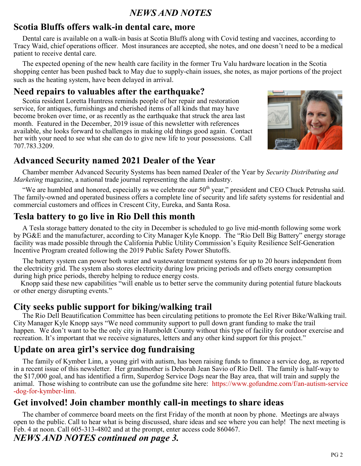#### *NEWS AND NOTES*

## **Scotia Bluffs offers walk-in dental care, more**

 Dental care is available on a walk-in basis at Scotia Bluffs along with Covid testing and vaccines, according to Tracy Waid, chief operations officer. Most insurances are accepted, she notes, and one doesn't need to be a medical patient to receive dental care.

 The expected opening of the new health care facility in the former Tru Valu hardware location in the Scotia shopping center has been pushed back to May due to supply-chain issues, she notes, as major portions of the project such as the heating system, have been delayed in arrival.

#### **Need repairs to valuables after the earthquake?**

 Scotia resident Loretta Huntress reminds people of her repair and restoration service, for antiques, furnishings and cherished items of all kinds that may have become broken over time, or as recently as the earthquake that struck the area last month. Featured in the December, 2019 issue of this newsletter with references available, she looks forward to challenges in making old things good again. Contact her with your need to see what she can do to give new life to your possessions. Call 707.783.3209.



## **Advanced Security named 2021 Dealer of the Year**

 Chamber member Advanced Security Systems has been named Dealer of the Year by *Security Distributing and Marketing* magazine, a national trade journal representing the alarm industry.

"We are humbled and honored, especially as we celebrate our  $50<sup>th</sup>$  year," president and CEO Chuck Petrusha said. The family-owned and operated business offers a complete line of security and life safety systems for residential and commercial customers and offices in Crescent City, Eureka, and Santa Rosa.

## **Tesla battery to go live in Rio Dell this month**

 A Tesla storage battery donated to the city in December is scheduled to go live mid-month following some work by PG&E and the manufacturer, according to City Manager Kyle Knopp. The "Rio Dell Big Battery" energy storage facility was made possible through the California Public Utility Commission's Equity Resilience Self‐Generation Incentive Program created following the 2019 Public Safety Power Shutoffs.

 The battery system can power both water and wastewater treatment systems for up to 20 hours independent from the electricity grid. The system also stores electricity during low pricing periods and offsets energy consumption during high price periods, thereby helping to reduce energy costs.

 Knopp said these new capabilities "will enable us to better serve the community during potential future blackouts or other energy disrupting events."

#### **City seeks public support for biking/walking trail**

 The Rio Dell Beautification Committee has been circulating petitions to promote the Eel River Bike/Walking trail. City Manager Kyle Knopp says "We need community support to pull down grant funding to make the trail happen. We don't want to be the only city in Humboldt County without this type of facility for outdoor exercise and recreation. It's important that we receive signatures, letters and any other kind support for this project."

## **Update on area girl's service dog fundraising**

 The family of Kymber Linn, a young girl with autism, has been raising funds to finance a service dog, as reported in a recent issue of this newsletter. Her grandmother is Deborah Jean Savio of Rio Dell. The family is half-way to the \$17,000 goal, and has identified a firm, Superdog Service Dogs near the Bay area, that will train and supply the animal. Those wishing to contribute can use the gofundme site here: https://www.gofundme.com/f/an-autism-service -dog-for-kymber-linn.

#### **Get involved! Join chamber monthly call-in meetings to share ideas**

 The chamber of commerce board meets on the first Friday of the month at noon by phone. Meetings are always open to the public. Call to hear what is being discussed, share ideas and see where you can help! The next meeting is Feb. 4 at noon. Call 605-313-4802 and at the prompt, enter access code 860467.

## *NEWS AND NOTES continued on page 3.*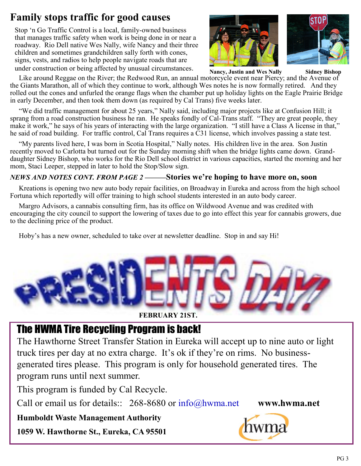# **Family stops traffic for good causes**

Stop 'n Go Traffic Control is a local, family-owned business that manages traffic safety when work is being done in or near a roadway. Rio Dell native Wes Nally, wife Nancy and their three children and sometimes grandchildren sally forth with cones, signs, vests, and radios to help people navigate roads that are under construction or being affected by unusual circumstances.





 Like around Reggae on the River; the Redwood Run, an annual motorcycle event near Piercy; and the Avenue of the Giants Marathon, all of which they continue to work, although Wes notes he is now formally retired. And they rolled out the cones and unfurled the orange flags when the chamber put up holiday lights on the Eagle Prairie Bridge in early December, and then took them down (as required by Cal Trans) five weeks later. **Nancy, Justin and Wes Nally Sidney Bishop** 

 "We did traffic management for about 25 years," Nally said, including major projects like at Confusion Hill; it sprang from a road construction business he ran. He speaks fondly of Cal-Trans staff. "They are great people, they make it work," he says of his years of interacting with the large organization. "I still have a Class A license in that," he said of road building. For traffic control, Cal Trans requires a C31 license, which involves passing a state test.

 "My parents lived here, I was born in Scotia Hospital," Nally notes. His children live in the area. Son Justin recently moved to Carlotta but turned out for the Sunday morning shift when the bridge lights came down. Granddaughter Sidney Bishop, who works for the Rio Dell school district in various capacities, started the morning and her mom, Staci Leeper, stepped in later to hold the Stop/Slow sign.

#### *NEWS AND NOTES CONT. FROM PAGE 2 ———***Stories we're hoping to have more on, soon**

 Kreations is opening two new auto body repair facilities, on Broadway in Eureka and across from the high school Fortuna which reportedly will offer training to high school students interested in an auto body career.

 Margro Advisors, a cannabis consulting firm, has its office on Wildwood Avenue and was credited with encouraging the city council to support the lowering of taxes due to go into effect this year for cannabis growers, due to the declining price of the product.

Hoby's has a new owner, scheduled to take over at newsletter deadline. Stop in and say Hi!



# The HWMA Tire Recycling Program is back!

The Hawthorne Street Transfer Station in Eureka will accept up to nine auto or light truck tires per day at no extra charge. It's ok if they're on rims. No businessgenerated tires please. This program is only for household generated tires. The program runs until next summer.

This program is funded by Cal Recycle.

Call or email us for details:: 268-8680 or info@hwma.net **www.hwma.net**

**Humboldt Waste Management Authority**

**1059 W. Hawthorne St., Eureka, CA 95501**